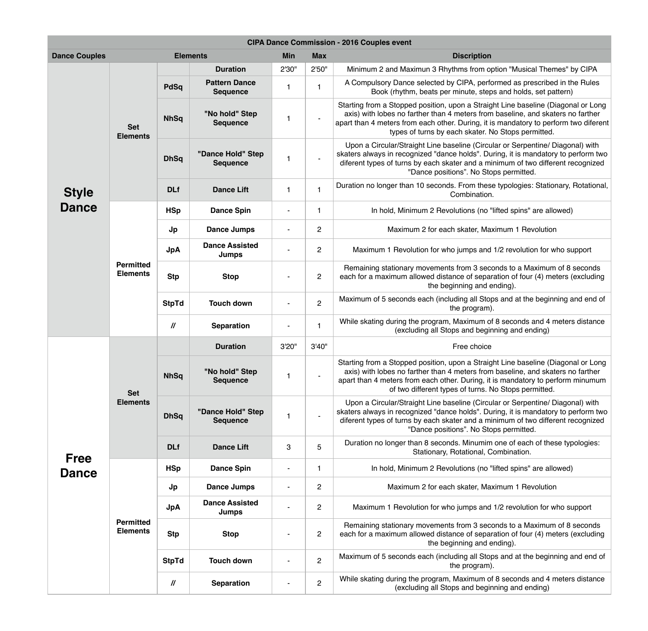**nds. From these typologies: Stationary, Rotational,** Combination.

**Produtions (no "lifted spins" are allowed)** 

cluding all Stops and at the beginning and end of the program).

m, Maximum of 8 seconds and 4 meters distance tops and beginning and ending)

upon a Straight Line baseline (Diagonal or Long 4 meters from baseline, and skaters no farther ther. During, it is mandatory to perform minumum pes of turns. No Stops permitted.

baseline (Circular or Serpentine/ Diagonal) with ince holds". During, it is mandatory to perform two skater and a minimum of two different recognized sitions". No Stops permitted.

**Drance Bighta 3 Definition 3 3 3 5 Ancher** in 2 3 and 8 seconds. Minumim one of each of these typologies: , Rotational, Combination.

**Phance Spins** (no "lifted spins" are allowed)

ach skater, Maximum 1 Revolution

vho jumps and 1/2 revolution for who support

nts from 3 seconds to a Maximum of 8 seconds stance of separation of four (4) meters (excluding eginning and ending).

**Jp Dance Jumps** - 2 Maximum 2 for each skater, Maximum 1 Revolution

vho jumps and 1/2 revolution for who support

nts from 3 seconds to a Maximum of 8 seconds stance of separation of four (4) meters (excluding eginning and ending).

| <b>CIPA Dance Commission - 2016 Couples event</b> |                                     |               |                                         |            |                |                                                                                                                                                                                            |  |  |
|---------------------------------------------------|-------------------------------------|---------------|-----------------------------------------|------------|----------------|--------------------------------------------------------------------------------------------------------------------------------------------------------------------------------------------|--|--|
| <b>Elements</b><br><b>Dance Couples</b>           |                                     |               |                                         | <b>Min</b> | <b>Max</b>     | <b>Discription</b>                                                                                                                                                                         |  |  |
| <b>Style</b><br><b>Dance</b>                      | <b>Set</b><br><b>Elements</b>       |               | <b>Duration</b>                         | 2'30"      | 2'50''         | Minimum 2 and Maximun 3 Rhythms from o                                                                                                                                                     |  |  |
|                                                   |                                     | <b>PdSq</b>   | <b>Pattern Dance</b><br><b>Sequence</b> | 1          |                | A Compulsory Dance selected by CIPA, perfe<br>Book (rhythm, beats per minute, step                                                                                                         |  |  |
|                                                   |                                     | <b>NhSq</b>   | "No hold" Step<br><b>Sequence</b>       |            |                | Starting from a Stopped position, upon a Straig<br>axis) with lobes no farther than 4 meters from<br>apart than 4 meters from each other. During, it i<br>types of turns by each skater. N |  |  |
|                                                   |                                     | <b>DhSq</b>   | "Dance Hold" Step<br><b>Sequence</b>    |            |                | Upon a Circular/Straight Line baseline (Circu<br>skaters always in recognized "dance holds". Du<br>diferent types of turns by each skater and a m<br>"Dance positions". No Sto             |  |  |
|                                                   |                                     | <b>DLf</b>    | <b>Dance Lift</b>                       | 1          |                | Duration no longer than 10 seconds. From thes<br>Combination                                                                                                                               |  |  |
|                                                   | <b>Permitted</b><br><b>Elements</b> | <b>HSp</b>    | <b>Dance Spin</b>                       |            |                | In hold, Minimum 2 Revolutions (no '                                                                                                                                                       |  |  |
|                                                   |                                     | Jp            | <b>Dance Jumps</b>                      |            | $\overline{2}$ | Maximum 2 for each skater, Ma                                                                                                                                                              |  |  |
|                                                   |                                     | <b>JpA</b>    | <b>Dance Assisted</b><br><b>Jumps</b>   |            | $\overline{2}$ | Maximum 1 Revolution for who jumps and                                                                                                                                                     |  |  |
|                                                   |                                     | <b>Stp</b>    | <b>Stop</b>                             |            | $\overline{2}$ | Remaining stationary movements from 3 sec<br>each for a maximum allowed distance of sepa<br>the beginning and a                                                                            |  |  |
|                                                   |                                     | <b>StpTd</b>  | <b>Touch down</b>                       |            | $\overline{2}$ | Maximum of 5 seconds each (including all Sto)<br>the program)                                                                                                                              |  |  |
|                                                   |                                     | $\mathcal{U}$ | <b>Separation</b>                       |            | $\mathbf 1$    | While skating during the program, Maximum o<br>(excluding all Stops and begir                                                                                                              |  |  |
| <b>Free</b><br><b>Dance</b>                       | <b>Set</b><br><b>Elements</b>       |               | <b>Duration</b>                         | 3'20"      | 3'40"          | Free choice                                                                                                                                                                                |  |  |
|                                                   |                                     | <b>NhSq</b>   | "No hold" Step<br><b>Sequence</b>       |            |                | Starting from a Stopped position, upon a Straig<br>axis) with lobes no farther than 4 meters from<br>apart than 4 meters from each other. During, it<br>of two different types of turns. I |  |  |
|                                                   |                                     | <b>DhSq</b>   | "Dance Hold" Step<br><b>Sequence</b>    |            |                | Upon a Circular/Straight Line baseline (Circu<br>skaters always in recognized "dance holds". Du<br>diferent types of turns by each skater and a m<br>"Dance positions". No Sto             |  |  |
|                                                   |                                     | <b>DLf</b>    | <b>Dance Lift</b>                       | 3          | 5              | Duration no longer than 8 seconds. Minumim<br>Stationary, Rotational, C                                                                                                                    |  |  |
|                                                   | <b>Permitted</b><br><b>Elements</b> | <b>HSp</b>    | <b>Dance Spin</b>                       |            |                | In hold, Minimum 2 Revolutions (no '                                                                                                                                                       |  |  |
|                                                   |                                     | Jp            | <b>Dance Jumps</b>                      |            | $\overline{2}$ | Maximum 2 for each skater, Ma                                                                                                                                                              |  |  |
|                                                   |                                     | <b>JpA</b>    | <b>Dance Assisted</b><br><b>Jumps</b>   |            | $\overline{2}$ | Maximum 1 Revolution for who jumps and                                                                                                                                                     |  |  |
|                                                   |                                     | <b>Stp</b>    | <b>Stop</b>                             |            | $\overline{2}$ | Remaining stationary movements from 3 sec<br>each for a maximum allowed distance of sepa<br>the beginning and a                                                                            |  |  |
|                                                   |                                     | <b>StpTd</b>  | <b>Touch down</b>                       |            | 2              | Maximum of 5 seconds each (including all Sto<br>the program)                                                                                                                               |  |  |
|                                                   |                                     | $\mathcal{U}$ | <b>Separation</b>                       |            | $\overline{2}$ | While skating during the program, Maximum o<br>(excluding all Stops and begir                                                                                                              |  |  |

hythms from option "Musical Themes" by CIPA

by CIPA, performed as prescribed in the Rules er minute, steps and holds, set pattern)

upon a Straight Line baseline (Diagonal or Long 4 meters from baseline, and skaters no farther her. During, it is mandatory to perform two diferent each skater. No Stops permitted.

baseline (Circular or Serpentine/ Diagonal) with ince holds". During, it is mandatory to perform two skater and a minimum of two different recognized sitions". No Stops permitted.

cluding all Stops and at the beginning and end of the program).

m, Maximum of 8 seconds and 4 meters distance tops and beginning and ending)